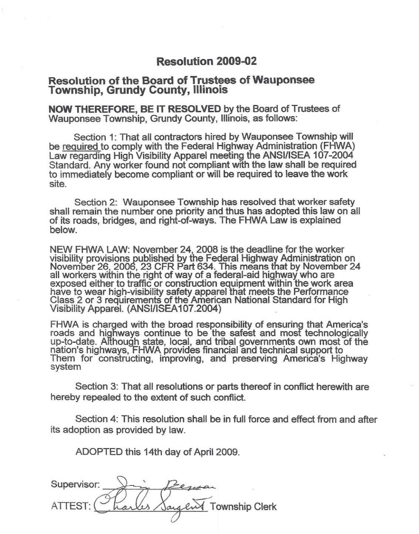## **Resolution 2009-02**

## **Resolution of the Board of Trustees of Wauponsee Township, Grundy County, Illinois**

**NOW THEREFORE, BE IT RESOLVED** by the Board of Trustees of Wauponsee Township, Grundy County, Illinois, as follows:

Section 1: That all contractors hired by Wauponsee Township will be required to comply with the Federal Highway Administration (FHWA) Law regarding High Visibility Apparel meeting the ANSI/ISEA 107-2004 Standard. Any worker found not compliant with the law shall be required to immediately become compliant or will be required to leave the work site.

Section 2: Wauponsee Township has resolved that worker safety shall remain the number one priority and thus has adopted this law on all of its roads, bridges, and right-of-ways. The FHWA Law is explained below.

NEW FHWA LAW: November 24, 2008 is the deadline for the worker visibility provisions published by the Federal Highway Administration on November 26, 2006, 23 CFR Part 634. This means that by November 24 all workers within the right of way of a federal-aid highway who are exposed either to traffic or construction equipment within the work area have to wear high-visibility safety apparel that meets the Performance Class 2 or 3 requirements of the American National Standard for High Visibility Apparel. (ANSI/ISEA107.2004)

FHWA is charged with the broad responsibility of ensuring that America's roads and highways continue to be the safest and most technologically up-to-date. Although state, local, and tribal governments own most of the nation's highways, FHWA provides financial and technical support to Them for constructing, improving, and preserving America's Highway system

Section 3: That all resolutions or parts thereof in conflict herewith are hereby repealed to the extent of such conflict.

Section 4: This resolution shall be in full force and effect from and after its adoption as provided by law.

ADOPTED this 14th day of April 2009.

 $Sur:$ ATTEST: or: Dim Antique Township Clerk